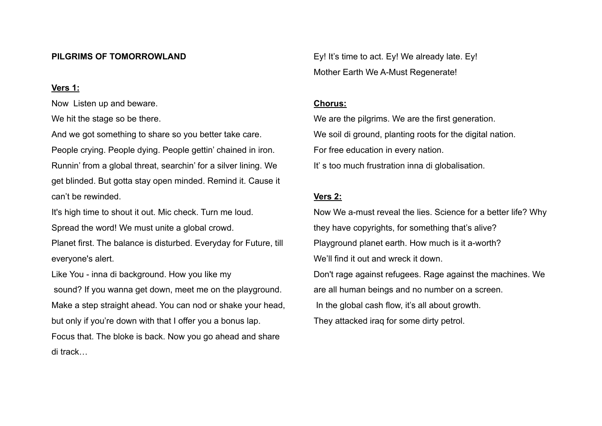### **PILGRIMS OF TOMORROWLAND**

### **Vers 1:**

Now Listen up and beware.

We hit the stage so be there.

And we got something to share so you better take care. People crying. People dying. People gettin' chained in iron. Runnin' from a global threat, searchin' for a silver lining. We get blinded. But gotta stay open minded. Remind it. Cause it can't be rewinded.

It's high time to shout it out. Mic check. Turn me loud.

Spread the word! We must unite a global crowd.

Planet first. The balance is disturbed. Everyday for Future, till everyone's alert.

Like You - inna di background. How you like my sound? If you wanna get down, meet me on the playground. Make a step straight ahead. You can nod or shake your head, but only if you're down with that I offer you a bonus lap. Focus that. The bloke is back. Now you go ahead and share di track…

Ey! It's time to act. Ey! We already late. Ey! Mother Earth We A-Must Regenerate!

#### **Chorus:**

We are the pilgrims. We are the first generation. We soil di ground, planting roots for the digital nation. For free education in every nation. It' s too much frustration inna di globalisation.

# **Vers 2:**

Now We a-must reveal the lies. Science for a better life? Why they have copyrights, for something that's alive? Playground planet earth. How much is it a-worth? We'll find it out and wreck it down. Don't rage against refugees. Rage against the machines. We are all human beings and no number on a screen. In the global cash flow, it's all about growth. They attacked iraq for some dirty petrol.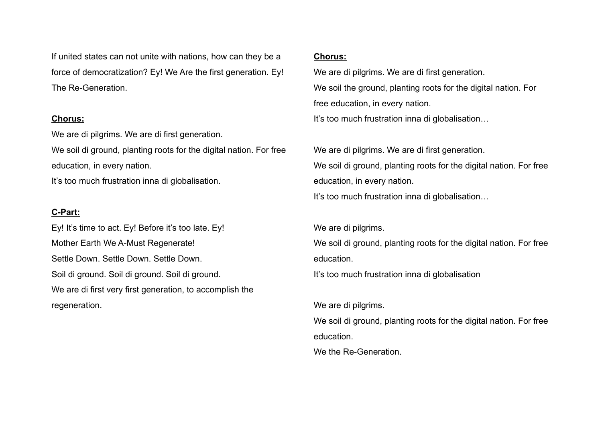If united states can not unite with nations, how can they be a force of democratization? Ey! We Are the first generation. Ey! The Re-Generation.

### **Chorus:**

We are di pilgrims. We are di first generation.

We soil di ground, planting roots for the digital nation. For free education, in every nation.

It's too much frustration inna di globalisation.

# **C-Part:**

Ey! It's time to act. Ey! Before it's too late. Ey! Mother Earth We A-Must Regenerate! Settle Down. Settle Down. Settle Down. Soil di ground. Soil di ground. Soil di ground. We are di first very first generation, to accomplish the regeneration.

## **Chorus:**

We are di pilgrims. We are di first generation. We soil the ground, planting roots for the digital nation. For free education, in every nation. It's too much frustration inna di globalisation...

We are di pilgrims. We are di first generation. We soil di ground, planting roots for the digital nation. For free education, in every nation.

It's too much frustration inna di globalisation...

We are di pilgrims.

We soil di ground, planting roots for the digital nation. For free education.

It's too much frustration inna di globalisation

We are di pilgrims. We soil di ground, planting roots for the digital nation. For free education.

We the Re-Generation.